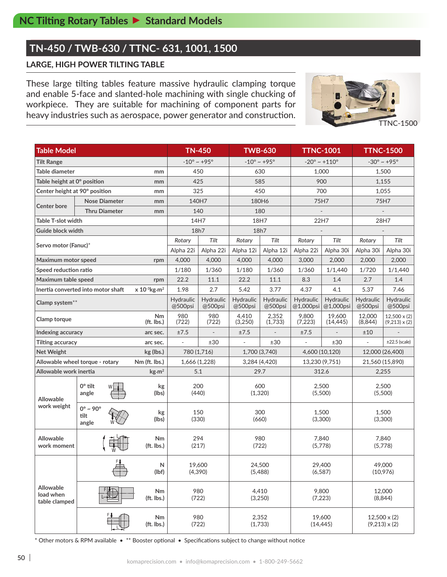# **TN-450 / TWB-630 / TTNC- 631, 1001, 1500**

### **LARGE, HIGH POWER TILTING TABLE**

These large tilting tables feature massive hydraulic clamping torque and enable 5-face and slanted-hole machining with single chucking of workpiece. They are suitable for machining of component parts for heavy industries such as aerospace, power generator and construction.



| <b>Table Model</b>                                                  |                                          | <b>TN-450</b>              |                                | <b>TWB-630</b>       | <b>TTNC-1001</b>     |                                | <b>TTNC-1500</b>       |                                 |                                             |                                             |  |
|---------------------------------------------------------------------|------------------------------------------|----------------------------|--------------------------------|----------------------|----------------------|--------------------------------|------------------------|---------------------------------|---------------------------------------------|---------------------------------------------|--|
| <b>Tilt Range</b>                                                   |                                          |                            | $-10^{\circ} \sim +95^{\circ}$ |                      |                      | $-10^{\circ} \sim +95^{\circ}$ |                        | $-20^{\circ} \sim +110^{\circ}$ | $-30^{\circ} \sim +95^{\circ}$              |                                             |  |
| Table diameter<br>mm                                                |                                          |                            | 450                            |                      |                      | 630                            |                        | 1.000                           | 1,500                                       |                                             |  |
| Table height at 0° position                                         |                                          | mm                         | 425                            |                      |                      | 585                            |                        | 900                             | 1,155                                       |                                             |  |
| Center height at 90° position                                       |                                          | mm                         | 325                            |                      |                      | 450                            |                        | 700                             | 1,055                                       |                                             |  |
|                                                                     | <b>Nose Diameter</b>                     | mm                         |                                | 140H7                | 180H6                |                                | 75H7                   |                                 | 75H7                                        |                                             |  |
| <b>Center bore</b>                                                  | <b>Thru Diameter</b><br>mm               |                            | 140                            |                      | 180                  |                                |                        |                                 |                                             |                                             |  |
| <b>Table T-slot width</b>                                           |                                          |                            | 14H7                           |                      | 18H7                 |                                | 22H7                   |                                 | 28H7                                        |                                             |  |
| Guide block width                                                   |                                          |                            | 18h7                           |                      | 18h7                 |                                |                        |                                 |                                             |                                             |  |
| Servo motor (Fanuc)*                                                |                                          |                            | Rotary                         | Tilt                 | Rotary               | Tilt                           | Rotary                 | Tilt                            | Rotary                                      | Tilt                                        |  |
|                                                                     |                                          |                            | Alpha 22i                      | Alpha 22i            | Alpha 12i            | Alpha 12i                      | Alpha 22i              | Alpha 30i                       | Alpha 30i                                   | Alpha 30i                                   |  |
| Maximum motor speed                                                 |                                          | rpm                        | 4,000                          | 4,000                | 4,000                | 4,000                          | 3,000                  | 2,000                           | 2,000                                       | 2,000                                       |  |
| Speed reduction ratio                                               |                                          |                            | 1/180                          | 1/360                | 1/180                | 1/360                          | 1/360                  | 1/1,440                         | 1/720                                       | 1/1,440                                     |  |
| Maximum table speed<br>rpm                                          |                                          |                            | 22.2                           | 11.1                 | 22.2                 | 11.1                           | 8.3                    | 1.4                             | 2.7                                         | 1.4                                         |  |
| $x 10^{-3}$ kg.m <sup>2</sup><br>Inertia converted into motor shaft |                                          |                            | 1.98                           | 2.7                  | 5.42                 | 3.77                           | 4.37                   | 4.1                             | 5.37                                        | 7.46                                        |  |
| Clamp system**                                                      |                                          |                            | Hydraulic<br>@500psi           | Hydraulic<br>@500psi | Hydraulic<br>@500psi | Hydraulic<br>@500psi           | Hydraulic<br>@1,000psi | Hydraulic<br>@1,000psi          | Hydraulic<br>@500psi                        | Hydraulic<br>@500psi                        |  |
| Nm<br>Clamp torque<br>$(ft.$ lbs.)                                  |                                          |                            | 980<br>(722)                   | 980<br>(722)         | 4,410<br>(3,250)     | 2,352<br>(1,733)               | 9,800<br>(7, 223)      | 19.600<br>(14, 445)             | 12,000<br>(8,844)                           | $12,500 \times (2)$<br>$(9,213) \times (2)$ |  |
| Indexing accuracy                                                   |                                          | arc sec.                   | ±7.5                           | $\overline{a}$       | ±7.5                 |                                | ±7.5                   |                                 | ±10                                         |                                             |  |
| Tilting accuracy                                                    |                                          | arc sec.                   |                                | ±30                  |                      | ±30                            |                        | ±30                             |                                             | $\pm 22.5$ (scale)                          |  |
| <b>Net Weight</b>                                                   |                                          | kg (lbs.)                  | 780 (1,716)                    |                      | 1,700 (3,740)        |                                | 4,600 (10,120)         |                                 | 12,000 (26,400)                             |                                             |  |
| Allowable wheel torque - rotary                                     |                                          | Nm (ft. lbs.)              | 1,666 (1,228)                  |                      | 3,284 (4,420)        |                                |                        | 13,230 (9,751)                  | 21,560 (15,890)                             |                                             |  |
| Allowable work inertia                                              |                                          | $\text{kg}\cdot\text{m}^2$ | 5.1                            |                      | 29.7                 |                                |                        | 312.6                           | 2,255                                       |                                             |  |
| <b>Allowable</b><br>work weight                                     | $0^\circ$ tilt<br>angle                  | kg<br>(lbs)                | 200<br>(440)                   |                      | 600<br>(1,320)       |                                | 2,500<br>(5,500)       |                                 | 2,500<br>(5,500)                            |                                             |  |
|                                                                     | $0^\circ \sim 90^\circ$<br>tilt<br>angle | kg<br>(lbs)                | 150<br>(330)                   |                      | 300<br>(660)         |                                |                        | 1,500<br>(3,300)                | 1,500<br>(3,300)                            |                                             |  |
| <b>Allowable</b><br>work moment                                     |                                          | Nm<br>(ft. lbs.)           | 294<br>(217)                   |                      | 980<br>(722)         |                                |                        | 7,840<br>(5,778)                | 7,840<br>(5,778)                            |                                             |  |
| Allowable<br>load when<br>table clamped                             | N<br>(lbf)                               |                            | 19,600<br>(4, 390)             |                      | 24,500<br>(5,488)    |                                |                        | 29,400<br>(6, 587)              | 49,000<br>(10,976)                          |                                             |  |
|                                                                     |                                          | Nm<br>(ft. lbs.)           |                                | 980<br>(722)         | 4,410<br>(3,250)     |                                |                        | 9,800<br>(7,223)                | 12,000<br>(8,844)                           |                                             |  |
|                                                                     |                                          | Nm<br>(ft. lbs.)           | 980<br>(722)                   |                      |                      | 2,352<br>(1,733)               |                        | 19,600<br>(14, 445)             | $12,500 \times (2)$<br>$(9,213) \times (2)$ |                                             |  |

\* Other motors & RPM available • \*\* Booster optional • Specifications subject to change without notice